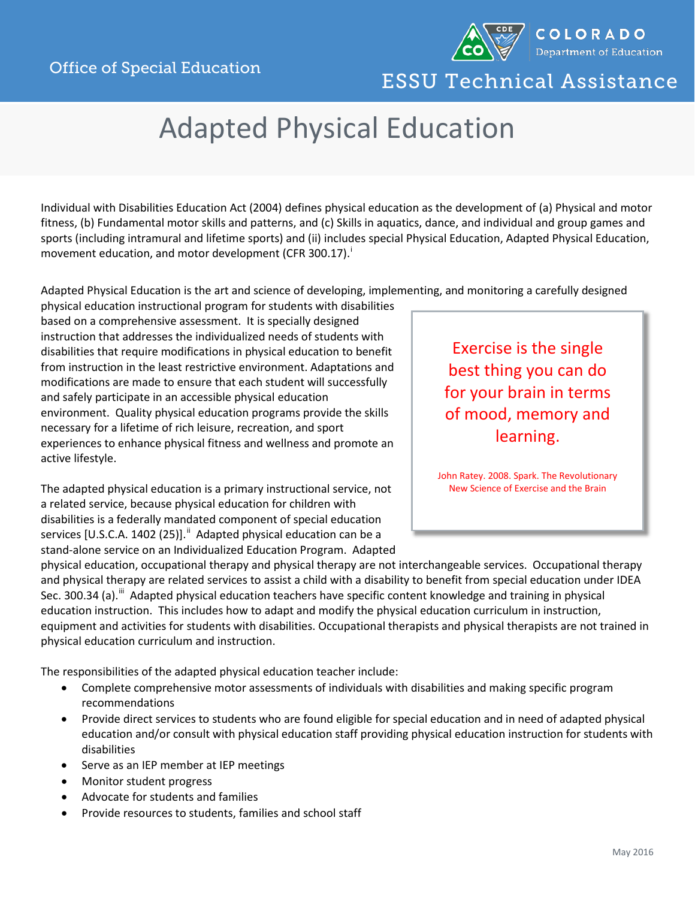

## ESSU Technical Assistance

## Adapted Physical Education

Individual with Disabilities Education Act (2004) defines physical education as the development of (a) Physical and motor fitness, (b) Fundamental motor skills and patterns, and (c) Skills in aquatics, dance, and individual and group games and sports (including intramural and lifetime sports) and (ii) includes special Physical Education, Adapted Physical Education, movement educat[i](#page-1-0)on, and motor development (CFR 300.17).

Adapted Physical Education is the art and science of developing, implementing, and monitoring a carefully designed

physical education instructional program for students with disabilities based on a comprehensive assessment. It is specially designed instruction that addresses the individualized needs of students with disabilities that require modifications in physical education to benefit from instruction in the least restrictive environment. Adaptations and modifications are made to ensure that each student will successfully and safely participate in an accessible physical education environment. Quality physical education programs provide the skills necessary for a lifetime of rich leisure, recreation, and sport experiences to enhance physical fitness and wellness and promote an active lifestyle.

The adapted physical education is a primary instructional service, not a related service, because physical education for children with disabilities is a federally mandated component of special education services [U.S.C.A. 1402 (25)]. <sup>[ii](#page-1-1)</sup> Adapted physical education can be a stand-alone service on an Individualized Education Program. Adapted

Exercise is the single best thing you can do for your brain in terms of mood, memory and learning.

John Ratey. 2008. Spark. The Revolutionary New Science of Exercise and the Brain

physical education, occupational therapy and physical therapy are not interchangeable services. Occupational therapy and physical therapy are related services to assist a child with a disability to benefit from special education under IDEA Sec. 300.34 (a).<sup>[iii](#page-1-2)</sup> Adapted physical education teachers have specific content knowledge and training in physical education instruction. This includes how to adapt and modify the physical education curriculum in instruction, equipment and activities for students with disabilities. Occupational therapists and physical therapists are not trained in physical education curriculum and instruction.

The responsibilities of the adapted physical education teacher include:

- Complete comprehensive motor assessments of individuals with disabilities and making specific program recommendations
- Provide direct services to students who are found eligible for special education and in need of adapted physical education and/or consult with physical education staff providing physical education instruction for students with disabilities
- Serve as an IEP member at IEP meetings
- Monitor student progress
- Advocate for students and families
- Provide resources to students, families and school staff